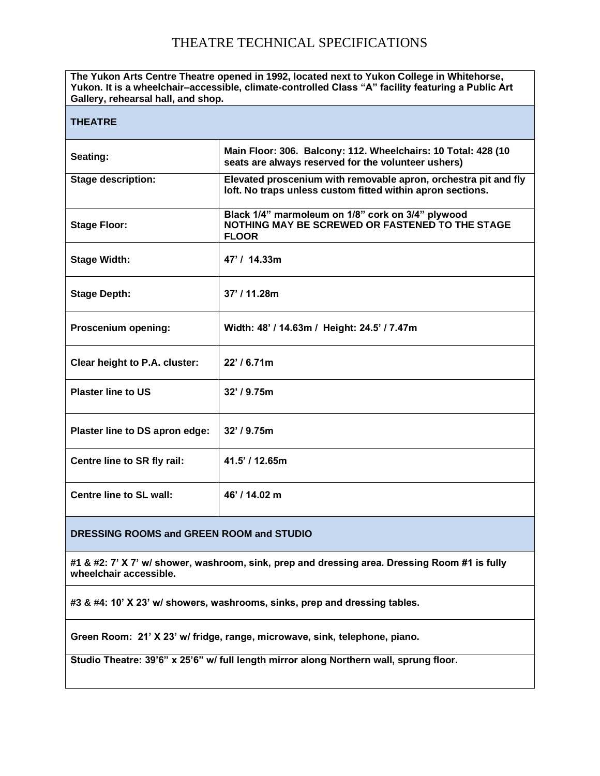# THEATRE TECHNICAL SPECIFICATIONS

| The Yukon Arts Centre Theatre opened in 1992, located next to Yukon College in Whitehorse,<br>Yukon. It is a wheelchair-accessible, climate-controlled Class "A" facility featuring a Public Art<br>Gallery, rehearsal hall, and shop. |                                                                                                                               |  |  |
|----------------------------------------------------------------------------------------------------------------------------------------------------------------------------------------------------------------------------------------|-------------------------------------------------------------------------------------------------------------------------------|--|--|
| <b>THEATRE</b>                                                                                                                                                                                                                         |                                                                                                                               |  |  |
| Seating:                                                                                                                                                                                                                               | Main Floor: 306. Balcony: 112. Wheelchairs: 10 Total: 428 (10<br>seats are always reserved for the volunteer ushers)          |  |  |
| <b>Stage description:</b>                                                                                                                                                                                                              | Elevated proscenium with removable apron, orchestra pit and fly<br>loft. No traps unless custom fitted within apron sections. |  |  |
| <b>Stage Floor:</b>                                                                                                                                                                                                                    | Black 1/4" marmoleum on 1/8" cork on 3/4" plywood<br>NOTHING MAY BE SCREWED OR FASTENED TO THE STAGE<br><b>FLOOR</b>          |  |  |
| <b>Stage Width:</b>                                                                                                                                                                                                                    | 47' / 14.33m                                                                                                                  |  |  |
| <b>Stage Depth:</b>                                                                                                                                                                                                                    | 37' / 11.28m                                                                                                                  |  |  |
| Proscenium opening:                                                                                                                                                                                                                    | Width: 48' / 14.63m / Height: 24.5' / 7.47m                                                                                   |  |  |
| Clear height to P.A. cluster:                                                                                                                                                                                                          | $22'$ / 6.71m                                                                                                                 |  |  |
| <b>Plaster line to US</b>                                                                                                                                                                                                              | 32' / 9.75m                                                                                                                   |  |  |
| Plaster line to DS apron edge:                                                                                                                                                                                                         | $32'$ / 9.75m                                                                                                                 |  |  |
| Centre line to SR fly rail:                                                                                                                                                                                                            | 41.5' / 12.65m                                                                                                                |  |  |
| Centre line to SL wall:                                                                                                                                                                                                                | 46' / 14.02 m                                                                                                                 |  |  |
|                                                                                                                                                                                                                                        |                                                                                                                               |  |  |

#### **DRESSING ROOMS and GREEN ROOM and STUDIO**

**#1 & #2: 7' X 7' w/ shower, washroom, sink, prep and dressing area. Dressing Room #1 is fully wheelchair accessible.**

**#3 & #4: 10' X 23' w/ showers, washrooms, sinks, prep and dressing tables.**

**Green Room: 21' X 23' w/ fridge, range, microwave, sink, telephone, piano.**

**Studio Theatre: 39'6" x 25'6" w/ full length mirror along Northern wall, sprung floor.**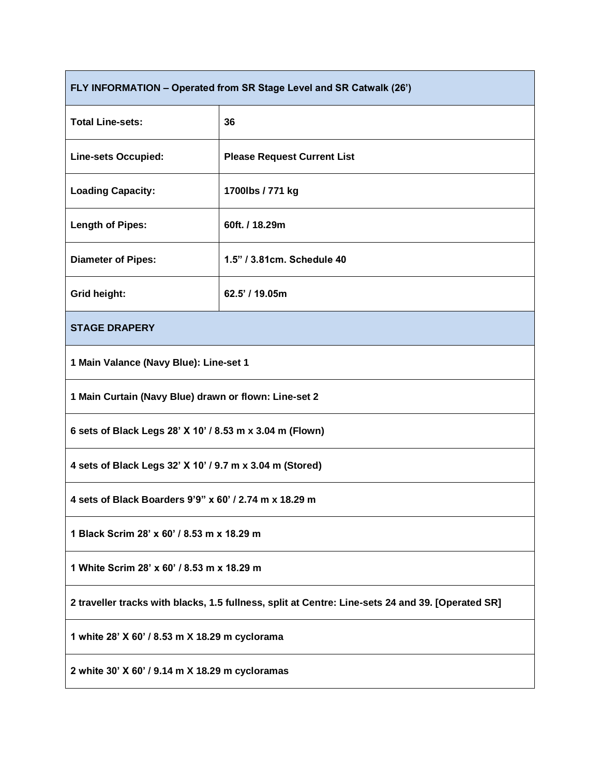| FLY INFORMATION - Operated from SR Stage Level and SR Catwalk (26')                               |                                    |  |  |
|---------------------------------------------------------------------------------------------------|------------------------------------|--|--|
| <b>Total Line-sets:</b>                                                                           | 36                                 |  |  |
| <b>Line-sets Occupied:</b>                                                                        | <b>Please Request Current List</b> |  |  |
| <b>Loading Capacity:</b>                                                                          | 1700lbs / 771 kg                   |  |  |
| <b>Length of Pipes:</b>                                                                           | 60ft. / 18.29m                     |  |  |
| <b>Diameter of Pipes:</b>                                                                         | 1.5" / 3.81cm. Schedule 40         |  |  |
| Grid height:                                                                                      | 62.5' / 19.05m                     |  |  |
| <b>STAGE DRAPERY</b>                                                                              |                                    |  |  |
| 1 Main Valance (Navy Blue): Line-set 1                                                            |                                    |  |  |
| 1 Main Curtain (Navy Blue) drawn or flown: Line-set 2                                             |                                    |  |  |
| 6 sets of Black Legs 28' X 10' / 8.53 m x 3.04 m (Flown)                                          |                                    |  |  |
| 4 sets of Black Legs 32' X 10' / 9.7 m x 3.04 m (Stored)                                          |                                    |  |  |
| 4 sets of Black Boarders 9'9" x 60' / 2.74 m x 18.29 m                                            |                                    |  |  |
| 1 Black Scrim 28' x 60' / 8.53 m x 18.29 m                                                        |                                    |  |  |
| 1 White Scrim 28' x 60' / 8.53 m x 18.29 m                                                        |                                    |  |  |
| 2 traveller tracks with blacks, 1.5 fullness, split at Centre: Line-sets 24 and 39. [Operated SR] |                                    |  |  |
| 1 white 28' X 60' / 8.53 m X 18.29 m cyclorama                                                    |                                    |  |  |
| 2 white 30' X 60' / 9.14 m X 18.29 m cycloramas                                                   |                                    |  |  |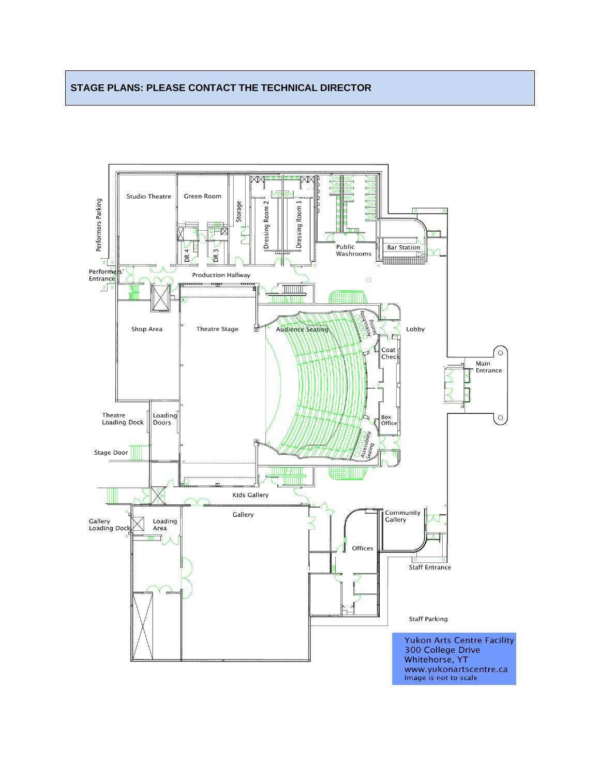#### **STAGE PLANS: PLEASE CONTACT THE TECHNICAL DIRECTOR**

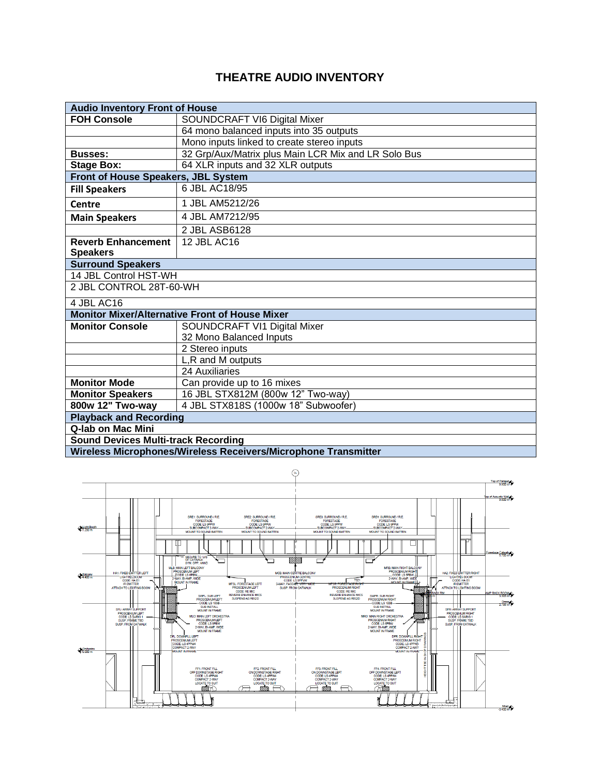## **THEATRE AUDIO INVENTORY**

| <b>Audio Inventory Front of House</b>                          |                                                       |  |  |
|----------------------------------------------------------------|-------------------------------------------------------|--|--|
| <b>FOH Console</b>                                             | SOUNDCRAFT VI6 Digital Mixer                          |  |  |
|                                                                | 64 mono balanced inputs into 35 outputs               |  |  |
|                                                                | Mono inputs linked to create stereo inputs            |  |  |
| <b>Busses:</b>                                                 | 32 Grp/Aux/Matrix plus Main LCR Mix and LR Solo Bus   |  |  |
| <b>Stage Box:</b>                                              | 64 XLR inputs and 32 XLR outputs                      |  |  |
| Front of House Speakers, JBL System                            |                                                       |  |  |
| <b>Fill Speakers</b>                                           | 6 JBL AC18/95                                         |  |  |
| <b>Centre</b>                                                  | 1 JBL AM5212/26                                       |  |  |
| <b>Main Speakers</b>                                           | 4 JBL AM7212/95                                       |  |  |
|                                                                | 2 JBL ASB6128                                         |  |  |
| <b>Reverb Enhancement</b>                                      | 12 JBL AC16                                           |  |  |
| <b>Speakers</b>                                                |                                                       |  |  |
| <b>Surround Speakers</b>                                       |                                                       |  |  |
| 14 JBL Control HST-WH                                          |                                                       |  |  |
| 2 JBL CONTROL 28T-60-WH                                        |                                                       |  |  |
| 4 JBL AC16                                                     |                                                       |  |  |
|                                                                | <b>Monitor Mixer/Alternative Front of House Mixer</b> |  |  |
| <b>Monitor Console</b>                                         | SOUNDCRAFT VI1 Digital Mixer                          |  |  |
|                                                                | 32 Mono Balanced Inputs                               |  |  |
|                                                                | 2 Stereo inputs                                       |  |  |
|                                                                | L,R and M outputs                                     |  |  |
|                                                                | 24 Auxiliaries                                        |  |  |
| <b>Monitor Mode</b>                                            | Can provide up to 16 mixes                            |  |  |
| <b>Monitor Speakers</b>                                        | 16 JBL STX812M (800w 12" Two-way)                     |  |  |
| 800w 12" Two-way                                               | 4 JBL STX818S (1000w 18" Subwoofer)                   |  |  |
| <b>Playback and Recording</b>                                  |                                                       |  |  |
| Q-lab on Mac Mini                                              |                                                       |  |  |
| <b>Sound Devices Multi-track Recording</b>                     |                                                       |  |  |
| Wireless Microphones/Wireless Receivers/Microphone Transmitter |                                                       |  |  |

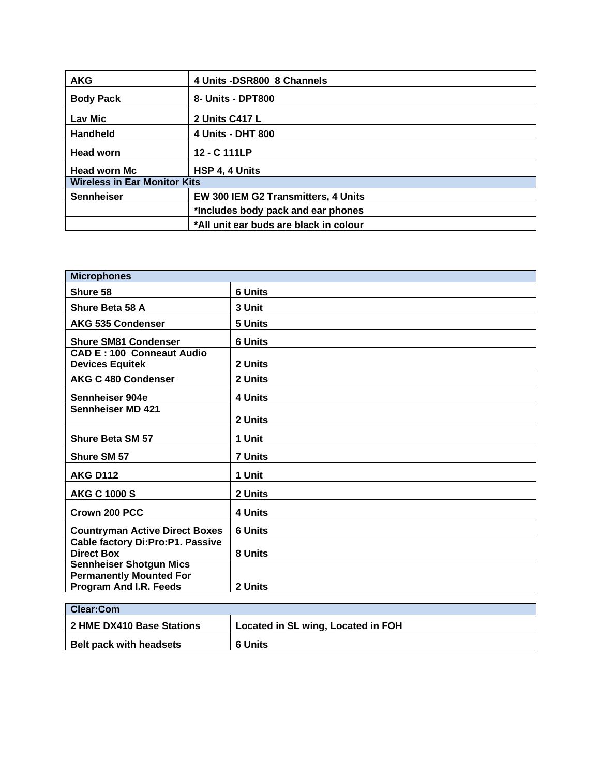| <b>AKG</b>                          | 4 Units -DSR800 8 Channels             |  |  |
|-------------------------------------|----------------------------------------|--|--|
| <b>Body Pack</b>                    | 8- Units - DPT800                      |  |  |
| Lav Mic                             | 2 Units C417 L                         |  |  |
| <b>Handheld</b>                     | 4 Units - DHT 800                      |  |  |
| <b>Head worn</b>                    | 12 - C 111LP                           |  |  |
| <b>Head worn Mc</b>                 | HSP 4, 4 Units                         |  |  |
| <b>Wireless in Ear Monitor Kits</b> |                                        |  |  |
| <b>Sennheiser</b>                   | EW 300 IEM G2 Transmitters, 4 Units    |  |  |
|                                     | *Includes body pack and ear phones     |  |  |
|                                     | *All unit ear buds are black in colour |  |  |

| <b>Microphones</b>                    |                |
|---------------------------------------|----------------|
| Shure 58                              | <b>6 Units</b> |
| Shure Beta 58 A                       | 3 Unit         |
| <b>AKG 535 Condenser</b>              | 5 Units        |
| <b>Shure SM81 Condenser</b>           | <b>6 Units</b> |
| <b>CAD E: 100 Conneaut Audio</b>      |                |
| <b>Devices Equitek</b>                | 2 Units        |
| <b>AKG C 480 Condenser</b>            | 2 Units        |
| Sennheiser 904e                       | 4 Units        |
| <b>Sennheiser MD 421</b>              |                |
|                                       | 2 Units        |
| <b>Shure Beta SM 57</b>               | 1 Unit         |
| <b>Shure SM 57</b>                    | <b>7 Units</b> |
| <b>AKG D112</b>                       | 1 Unit         |
| <b>AKG C 1000 S</b>                   | 2 Units        |
| Crown 200 PCC                         | 4 Units        |
| <b>Countryman Active Direct Boxes</b> | <b>6 Units</b> |
| Cable factory Di:Pro:P1. Passive      |                |
| <b>Direct Box</b>                     | 8 Units        |
| <b>Sennheiser Shotgun Mics</b>        |                |
| <b>Permanently Mounted For</b>        |                |
| <b>Program And I.R. Feeds</b>         | 2 Units        |

| <b>Clear:Com</b>               |                                    |  |  |
|--------------------------------|------------------------------------|--|--|
| 2 HME DX410 Base Stations      | Located in SL wing, Located in FOH |  |  |
| <b>Belt pack with headsets</b> | 6 Units                            |  |  |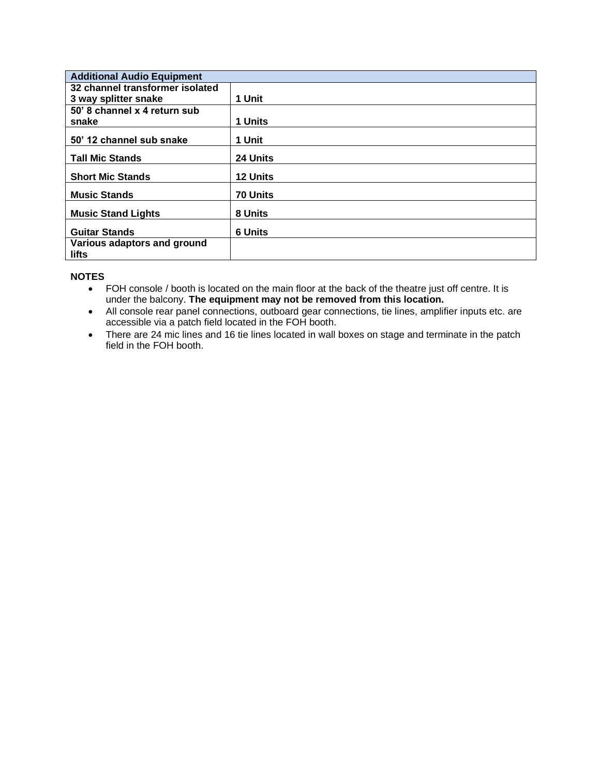| <b>Additional Audio Equipment</b>    |                |
|--------------------------------------|----------------|
| 32 channel transformer isolated      |                |
| 3 way splitter snake                 | 1 Unit         |
| 50' 8 channel x 4 return sub         |                |
| snake                                | 1 Units        |
| 50' 12 channel sub snake             | 1 Unit         |
| <b>Tall Mic Stands</b>               | 24 Units       |
| <b>Short Mic Stands</b>              | 12 Units       |
| <b>Music Stands</b>                  | 70 Units       |
| <b>Music Stand Lights</b>            | 8 Units        |
| <b>Guitar Stands</b>                 | <b>6 Units</b> |
| Various adaptors and ground<br>lifts |                |

#### **NOTES**

- FOH console / booth is located on the main floor at the back of the theatre just off centre. It is under the balcony. **The equipment may not be removed from this location.**
- All console rear panel connections, outboard gear connections, tie lines, amplifier inputs etc. are accessible via a patch field located in the FOH booth.
- There are 24 mic lines and 16 tie lines located in wall boxes on stage and terminate in the patch field in the FOH booth.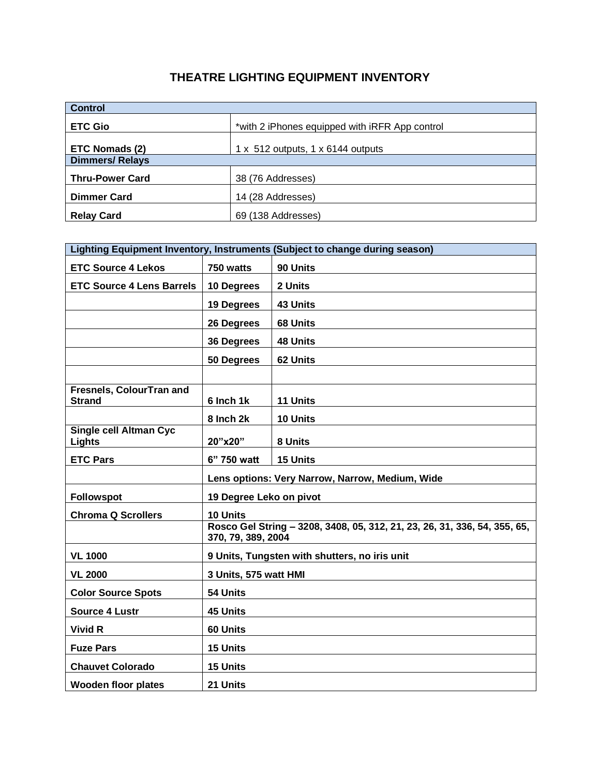### **THEATRE LIGHTING EQUIPMENT INVENTORY**

| <b>Control</b>         |                                                |  |  |
|------------------------|------------------------------------------------|--|--|
| <b>ETC Gio</b>         | *with 2 iPhones equipped with iRFR App control |  |  |
| ETC Nomads (2)         | 1 x 512 outputs, 1 x 6144 outputs              |  |  |
| <b>Dimmers/Relays</b>  |                                                |  |  |
| <b>Thru-Power Card</b> | 38 (76 Addresses)                              |  |  |
| <b>Dimmer Card</b>     | 14 (28 Addresses)                              |  |  |
| <b>Relay Card</b>      | 69 (138 Addresses)                             |  |  |

| Lighting Equipment Inventory, Instruments (Subject to change during season) |                         |                                                                           |  |
|-----------------------------------------------------------------------------|-------------------------|---------------------------------------------------------------------------|--|
| <b>ETC Source 4 Lekos</b>                                                   | 750 watts               | 90 Units                                                                  |  |
| <b>ETC Source 4 Lens Barrels</b>                                            | 10 Degrees              | 2 Units                                                                   |  |
|                                                                             | 19 Degrees              | 43 Units                                                                  |  |
|                                                                             | 26 Degrees              | 68 Units                                                                  |  |
|                                                                             | 36 Degrees              | <b>48 Units</b>                                                           |  |
|                                                                             | 50 Degrees              | 62 Units                                                                  |  |
|                                                                             |                         |                                                                           |  |
| Fresnels, ColourTran and<br><b>Strand</b>                                   | 6 Inch 1k               | 11 Units                                                                  |  |
|                                                                             | 8 Inch 2k               | 10 Units                                                                  |  |
| <b>Single cell Altman Cyc</b><br><b>Lights</b>                              | 20"x20"                 | 8 Units                                                                   |  |
| <b>ETC Pars</b>                                                             | 6" 750 watt             | 15 Units                                                                  |  |
|                                                                             |                         | Lens options: Very Narrow, Narrow, Medium, Wide                           |  |
| <b>Followspot</b>                                                           | 19 Degree Leko on pivot |                                                                           |  |
| <b>Chroma Q Scrollers</b>                                                   | 10 Units                |                                                                           |  |
|                                                                             | 370, 79, 389, 2004      | Rosco Gel String - 3208, 3408, 05, 312, 21, 23, 26, 31, 336, 54, 355, 65, |  |
| <b>VL 1000</b>                                                              |                         | 9 Units, Tungsten with shutters, no iris unit                             |  |
| <b>VL 2000</b>                                                              | 3 Units, 575 watt HMI   |                                                                           |  |
| <b>Color Source Spots</b>                                                   | 54 Units                |                                                                           |  |
| <b>Source 4 Lustr</b>                                                       | <b>45 Units</b>         |                                                                           |  |
| <b>Vivid R</b>                                                              | 60 Units                |                                                                           |  |
| <b>Fuze Pars</b>                                                            | 15 Units                |                                                                           |  |
| <b>Chauvet Colorado</b>                                                     | <b>15 Units</b>         |                                                                           |  |
| <b>Wooden floor plates</b>                                                  | 21 Units                |                                                                           |  |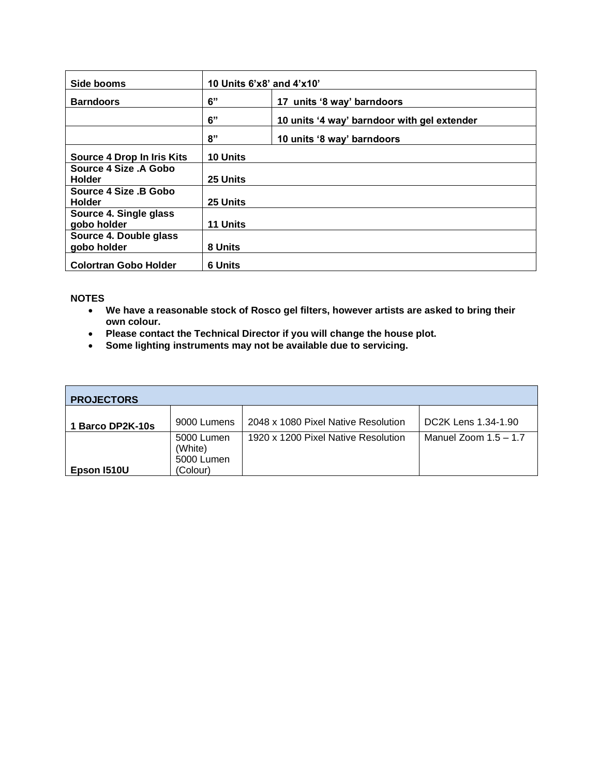| Side booms                             | 10 Units 6'x8' and 4'x10'        |                                             |  |
|----------------------------------------|----------------------------------|---------------------------------------------|--|
| <b>Barndoors</b>                       | 6"<br>17 units '8 way' barndoors |                                             |  |
|                                        | 6"                               | 10 units '4 way' barndoor with gel extender |  |
|                                        | 8"                               | 10 units '8 way' barndoors                  |  |
| Source 4 Drop In Iris Kits             | <b>10 Units</b>                  |                                             |  |
| Source 4 Size .A Gobo<br><b>Holder</b> | 25 Units                         |                                             |  |
| Source 4 Size .B Gobo<br><b>Holder</b> | 25 Units                         |                                             |  |
| Source 4. Single glass<br>gobo holder  | 11 Units                         |                                             |  |
| Source 4. Double glass<br>gobo holder  | 8 Units                          |                                             |  |
| <b>Colortran Gobo Holder</b>           | <b>6 Units</b>                   |                                             |  |

### **NOTES**

- **We have a reasonable stock of Rosco gel filters, however artists are asked to bring their own colour.**
- **Please contact the Technical Director if you will change the house plot.**
- **Some lighting instruments may not be available due to servicing.**

| <b>PROJECTORS</b> |                                     |                                     |                         |
|-------------------|-------------------------------------|-------------------------------------|-------------------------|
| 1 Barco DP2K-10s  | 9000 Lumens                         | 2048 x 1080 Pixel Native Resolution | DC2K Lens 1.34-1.90     |
|                   | 5000 Lumen<br>(White)<br>5000 Lumen | 1920 x 1200 Pixel Native Resolution | Manuel Zoom $1.5 - 1.7$ |
| Epson 1510U       | (Colour)                            |                                     |                         |